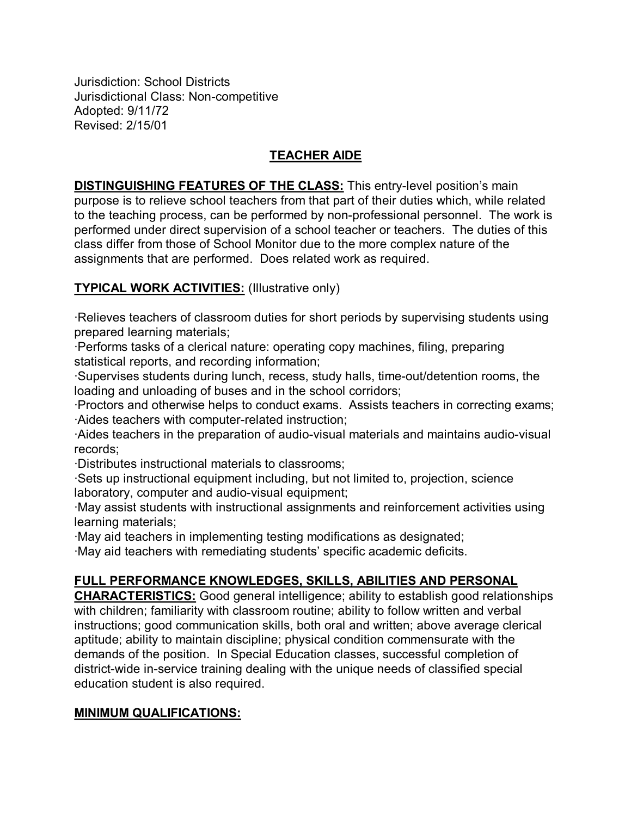Jurisdiction: School Districts Jurisdictional Class: Non-competitive Adopted: 9/11/72 Revised: 2/15/01

## **TEACHER AIDE**

**DISTINGUISHING FEATURES OF THE CLASS:** This entry-level position's main purpose is to relieve school teachers from that part of their duties which, while related to the teaching process, can be performed by non-professional personnel. The work is performed under direct supervision of a school teacher or teachers. The duties of this class differ from those of School Monitor due to the more complex nature of the assignments that are performed. Does related work as required.

## **TYPICAL WORK ACTIVITIES:** (Illustrative only)

∙Relieves teachers of classroom duties for short periods by supervising students using prepared learning materials;

∙Performs tasks of a clerical nature: operating copy machines, filing, preparing statistical reports, and recording information;

∙Supervises students during lunch, recess, study halls, time-out/detention rooms, the loading and unloading of buses and in the school corridors;

∙Proctors and otherwise helps to conduct exams. Assists teachers in correcting exams; ∙Aides teachers with computer-related instruction;

∙Aides teachers in the preparation of audio-visual materials and maintains audio-visual records;

∙Distributes instructional materials to classrooms;

∙Sets up instructional equipment including, but not limited to, projection, science laboratory, computer and audio-visual equipment;

∙May assist students with instructional assignments and reinforcement activities using learning materials;

∙May aid teachers in implementing testing modifications as designated;

∙May aid teachers with remediating students' specific academic deficits.

## **FULL PERFORMANCE KNOWLEDGES, SKILLS, ABILITIES AND PERSONAL**

**CHARACTERISTICS:** Good general intelligence; ability to establish good relationships with children; familiarity with classroom routine; ability to follow written and verbal instructions; good communication skills, both oral and written; above average clerical aptitude; ability to maintain discipline; physical condition commensurate with the demands of the position. In Special Education classes, successful completion of district-wide in-service training dealing with the unique needs of classified special education student is also required.

## **MINIMUM QUALIFICATIONS:**